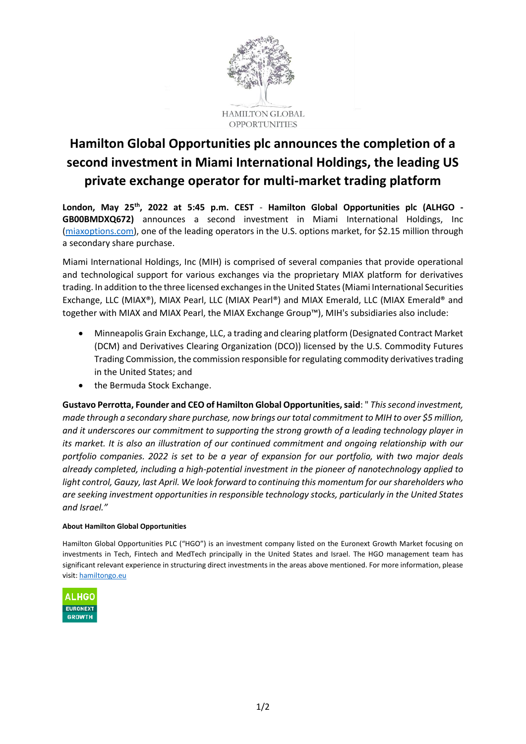

# **Hamilton Global Opportunities plc announces the completion of a second investment in Miami International Holdings, the leading US private exchange operator for multi-market trading platform**

**London, May 25th, 2022 at 5:45 p.m. CEST** - **Hamilton Global Opportunities plc (ALHGO - GB00BMDXQ672)** announces a second investment in Miami International Holdings, Inc [\(miaxoptions.com\)](https://www.miaxoptions.com/), one of the leading operators in the U.S. options market, for \$2.15 million through a secondary share purchase.

Miami International Holdings, Inc (MIH) is comprised of several companies that provide operational and technological support for various exchanges via the proprietary MIAX platform for derivatives trading. In addition to the three licensed exchanges in the United States (Miami International Securities Exchange, LLC (MIAX®), MIAX Pearl, LLC (MIAX Pearl®) and MIAX Emerald, LLC (MIAX Emerald® and together with MIAX and MIAX Pearl, the MIAX Exchange Group™), MIH's subsidiaries also include:

- Minneapolis Grain Exchange, LLC, a trading and clearing platform (Designated Contract Market (DCM) and Derivatives Clearing Organization (DCO)) licensed by the U.S. Commodity Futures Trading Commission, the commission responsible for regulating commodity derivatives trading in the United States; and
- the Bermuda Stock Exchange.

**Gustavo Perrotta, Founder and CEO of Hamilton Global Opportunities, said**: " *This second investment, made through a secondary share purchase, now brings our total commitment to MIH to over \$5 million, and it underscores our commitment to supporting the strong growth of a leading technology player in its market. It is also an illustration of our continued commitment and ongoing relationship with our portfolio companies. 2022 is set to be a year of expansion for our portfolio, with two major deals already completed, including a high-potential investment in the pioneer of nanotechnology applied to light control, Gauzy, last April. We look forward to continuing this momentum for our shareholders who are seeking investment opportunities in responsible technology stocks, particularly in the United States and Israel."*

## **About Hamilton Global Opportunities**

Hamilton Global Opportunities PLC ("HGO") is an investment company listed on the Euronext Growth Market focusing on investments in Tech, Fintech and MedTech principally in the United States and Israel. The HGO management team has significant relevant experience in structuring direct investments in the areas above mentioned. For more information, please visit: [hamiltongo.eu](https://hamiltongo.eu/)